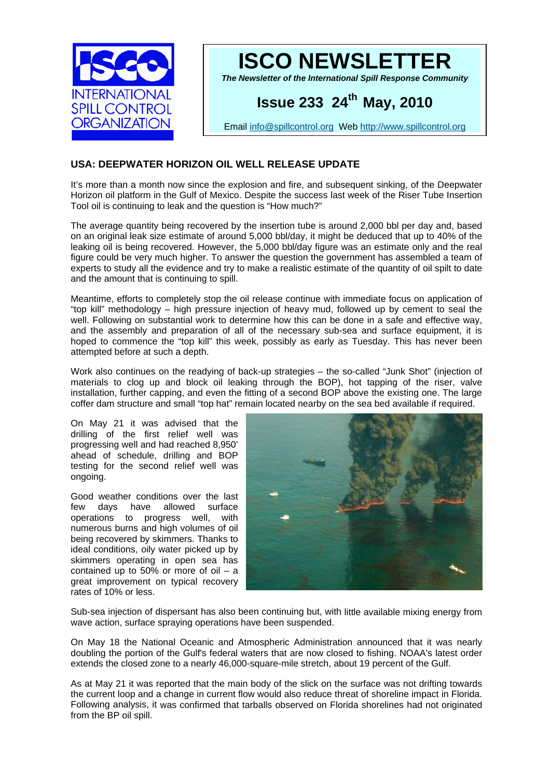



*The Newsletter of the International Spill Response Community* 

# **Issue 233 24th May, 2010**

Email [info@spillcontrol.org](mailto:info@spillcontrol.org) Web [http://www.spillcontrol.org](http://www.spillcontrol.org/) 

# **USA: DEEPWATER HORIZON OIL WELL RELEASE UPDATE**

It's more than a month now since the explosion and fire, and subsequent sinking, of the Deepwater Horizon oil platform in the Gulf of Mexico. Despite the success last week of the Riser Tube Insertion Tool oil is continuing to leak and the question is "How much?"

The average quantity being recovered by the insertion tube is around 2,000 bbl per day and, based on an original leak size estimate of around 5,000 bbl/day, it might be deduced that up to 40% of the leaking oil is being recovered. However, the 5,000 bbl/day figure was an estimate only and the real figure could be very much higher. To answer the question the government has assembled a team of experts to study all the evidence and try to make a realistic estimate of the quantity of oil spilt to date and the amount that is continuing to spill.

Meantime, efforts to completely stop the oil release continue with immediate focus on application of "top kill" methodology – high pressure injection of heavy mud, followed up by cement to seal the well. Following on substantial work to determine how this can be done in a safe and effective way, and the assembly and preparation of all of the necessary sub-sea and surface equipment, it is hoped to commence the "top kill" this week, possibly as early as Tuesday. This has never been attempted before at such a depth.

Work also continues on the readying of back-up strategies – the so-called "Junk Shot" (injection of materials to clog up and block oil leaking through the BOP), hot tapping of the riser, valve installation, further capping, and even the fitting of a second BOP above the existing one. The large coffer dam structure and small "top hat" remain located nearby on the sea bed available if required.

On May 21 it was advised that the drilling of the first relief well was progressing well and had reached 8,950' ahead of schedule, drilling and BOP testing for the second relief well was ongoing.

great improvement on typical recovery rates of 10% or less. Good weather conditions over the last few days have allowed surface operations to progress well, with numerous burns and high volumes of oil being recovered by skimmers. Thanks to ideal conditions, oily water picked up by skimmers operating in open sea has contained up to 50% or more of oil  $-$  a



Sub-sea injection of dispersant has also been continuing but, with little available mixing energy from wave action, surface spraying operations have been suspended.

doubling the portion of the Gulf's federal waters that are now closed to fishing. NOAA's latest order extends the closed zone to a nearly 46,000-square-mile stretch, about 19 percent of the Gulf. On May 18 the National Oceanic and Atmospheric Administration announced that it was nearly

Following analysis, it was confirmed that tarballs observed on Florida shorelines had not originated from the BP oil spill. As at May 21 it was reported that the main body of the slick on the surface was not drifting towards the current loop and a change in current flow would also reduce threat of shoreline impact in Florida.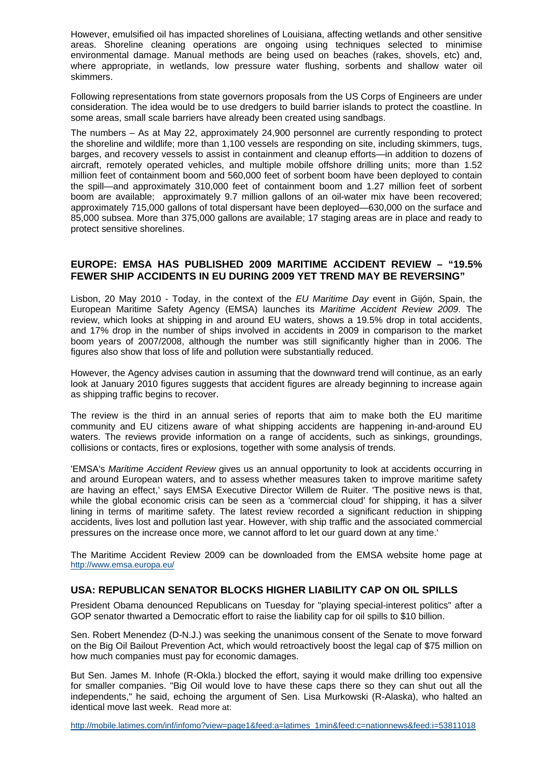However, emulsified oil has impacted shorelines of Louisiana, affecting wetlands and other sensitive areas. Shoreline cleaning operations are ongoing using techniques selected to minimise environmental damage. Manual methods are being used on beaches (rakes, shovels, etc) and, where appropriate, in wetlands, low pressure water flushing, sorbents and shallow water oil skimmers.

Following representations from state governors proposals from the US Corps of Engineers are under consideration. The idea would be to use dredgers to build barrier islands to protect the coastline. In some areas, small scale barriers have already been created using sandbags.

 The numbers – As at May 22, approximately 24,900 personnel are currently responding to protect the shoreline and wildlife; more than 1,100 vessels are responding on site, including skimmers, tugs, barges, and recovery vessels to assist in containment and cleanup efforts—in addition to dozens of aircraft, remotely operated vehicles, and multiple mobile offshore drilling units; more than 1.52 million feet of containment boom and 560,000 feet of sorbent boom have been deployed to contain the spill—and approximately 310,000 feet of containment boom and 1.27 million feet of sorbent boom are available; approximately 9.7 million gallons of an oil-water mix have been recovered; approximately 715,000 gallons of total dispersant have been deployed—630,000 on the surface and 85,000 subsea. More than 375,000 gallons are available; 17 staging areas are in place and ready to protect sensitive shorelines.

## **UROPE: EMSA HAS PUBLISHED 2009 MARITIME ACCIDENT REVIEW – "19.5% E FEWER SHIP ACCIDENTS IN EU DURING 2009 YET TREND MAY BE REVERSING"**

and 17% drop in the number of ships involved in accidents in 2009 in comparison to the market boom years of 2007/2008, although the number was still significantly higher than in 2006. The Lisbon, 20 May 2010 - Today, in the context of the *EU Maritime Day* event in Gijón, Spain, the European Maritime Safety Agency (EMSA) launches its *Maritime Accident Review 2009*. The review, which looks at shipping in and around EU waters, shows a 19.5% drop in total accidents, figures also show that loss of life and pollution were substantially reduced.

However, the Agency advises caution in assuming that the downward trend will continue, as an early look at January 2010 figures suggests that accident figures are already beginning to increase again as shipping traffic begins to recover.

community and EU citizens aware of what shipping accidents are happening in-and-around EU waters. The reviews provide information on a range of accidents, such as sinkings, groundings, The review is the third in an annual series of reports that aim to make both the EU maritime collisions or contacts, fires or explosions, together with some analysis of trends.

lining in terms of maritime safety. The latest review recorded a significant reduction in shipping accidents, lives lost and pollution last year. However, with ship traffic and the associated commercial 'EMSA's *Maritime Accident Review* gives us an annual opportunity to look at accidents occurring in and around European waters, and to assess whether measures taken to improve maritime safety are having an effect,' says EMSA Executive Director Willem de Ruiter. 'The positive news is that, while the global economic crisis can be seen as a 'commercial cloud' for shipping, it has a silver pressures on the increase once more, we cannot afford to let our guard down at any time.'

The Maritime Accident Review 2009 can be downloaded from the EMSA website home page at http://www.emsa.europa.eu/

#### **USA: REPUBLICAN SENATOR BLOCKS HIGHER LIABILITY CAP ON OIL SPILLS**

President Obama denounced Republicans on Tuesday for "playing special-interest politics" after a GOP senator thwarted a Democratic effort to raise the liability cap for oil spills to \$10 billion.

Sen. Robert Menendez (D-N.J.) was seeking the unanimous consent of the Senate to move forward on the Big Oil Bailout Prevention Act, which would retroactively boost the legal cap of \$75 million on how much companies must pay for economic damages.

for smaller companies. "Big Oil would love to have these caps there so they can shut out all the independents," he said, echoing the argument of Sen. Lisa Murkowski (R-Alaska), who halted an But Sen. James M. Inhofe (R-Okla.) blocked the effort, saying it would make drilling too expensive identical move last week. Read more at:

ttp://mobile.latimes.com/inf/infomo?view=page1&feed:a=latimes\_1min&feed:c=nationnews&feed:i=53811018 h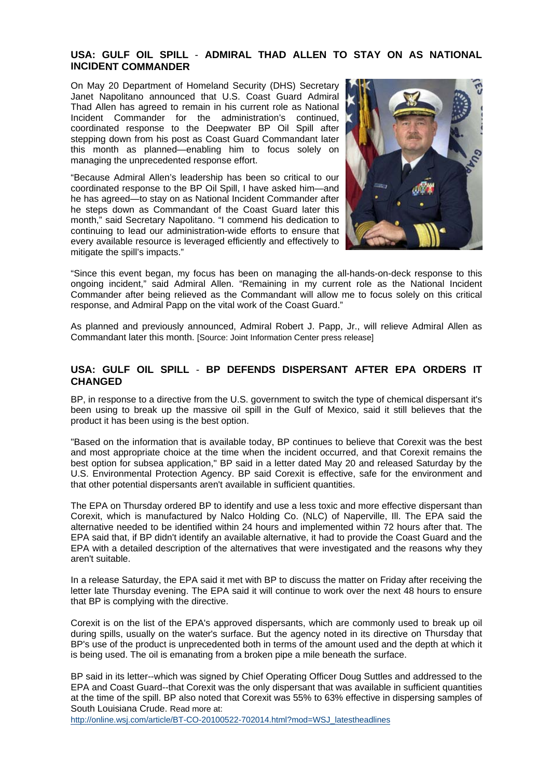#### **USA: GULF OIL SPILL** - **ADMIRAL THAD ALLEN TO STAY ON AS NATIONAL INCIDENT COMMANDER**

stepping down from his post as Coast Guard Commandant later this month as planned—enabling him to focus solely on On May 20 Department of Homeland Security (DHS) Secretary Janet Napolitano announced that U.S. Coast Guard Admiral Thad Allen has agreed to remain in his current role as National Incident Commander for the administration's continued, coordinated response to the Deepwater BP Oil Spill after managing the unprecedented response effort.

"Because Admiral Allen's leadership has been so critical to our coordinated response to the BP Oil Spill, I have asked him—and he has agreed—to stay on as National Incident Commander after he steps down as Commandant of the Coast Guard later this month," said Secretary Napolitano. "I commend his dedication to continuing to lead our administration-wide efforts to ensure that every available resource is leveraged efficiently and effectively to mitigate the spill's impacts."



"Since this event began, my focus has been on managing the all-hands-on-deck response to this ongoing incident," said Admiral Allen. "Remaining in my current role as the National Incident Commander after being relieved as the Commandant will allow me to focus solely on this critical response, and Admiral Papp on the vital work of the Coast Guard."

As planned and previously announced, Admiral Robert J. Papp, Jr., will relieve Admiral Allen as Commandant later this month. [Source: Joint Information Center press release]

#### **OIL SPILL** - **BP DEFENDS DISPERSANT AFTER EPA ORDERS IT USA: GULF CHANGED**

BP, in response to a directive from the U.S. government to switch the type of chemical dispersant it's been using to break up the massive oil spill in the Gulf of Mexico, said it still believes that the product it has been using is the best option.

best option for subsea application," BP said in a letter dated May 20 and released Saturday by the U.S. Environmental Protection Agency. BP said Corexit is effective, safe for the environment and "Based on the information that is available today, BP continues to believe that Corexit was the best and most appropriate choice at the time when the incident occurred, and that Corexit remains the that other potential dispersants aren't available in sufficient quantities.

EPA said that, if BP didn't identify an available alternative, it had to provide the Coast Guard and the EPA with a detailed description of the alternatives that were investigated and the reasons why they The EPA on Thursday ordered BP to identify and use a less toxic and more effective dispersant than Corexit, which is manufactured by Nalco Holding Co. (NLC) of Naperville, Ill. The EPA said the alternative needed to be identified within 24 hours and implemented within 72 hours after that. The aren't suitable.

In a release Saturday, the EPA said it met with BP to discuss the matter on Friday after receiving the letter late Thursday evening. The EPA said it will continue to work over the next 48 hours to ensure that BP is complying with the directive.

during spills, usually on the water's surface. But the agency noted in its directive on Thursday that BP's use of the product is unprecedented both in terms of the amount used and the depth at which it Corexit is on the list of the EPA's approved dispersants, which are commonly used to break up oil is being used. The oil is emanating from a broken pipe a mile beneath the surface.

EPA and Coast Guard--that Corexit was the only dispersant that was available in sufficient quantities at the time of the spill. BP also noted that Corexit was 55% to 63% effective in dispersing samples of South Louisiana Crude. Read more at: BP said in its letter--which was signed by Chief Operating Officer Doug Suttles and addressed to the

http://online.wsj.com/article/BT-CO-20100522-702014.html?mod=WSJ\_latestheadlines